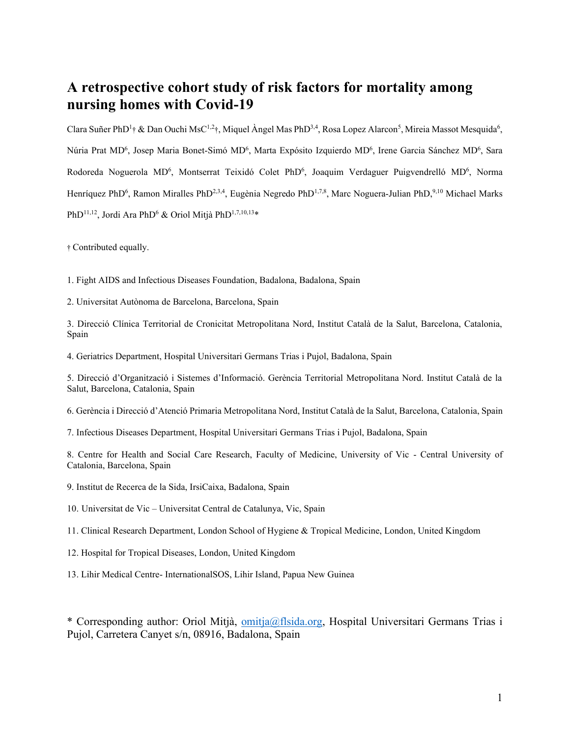# **A retrospective cohort study of risk factors for mortality among nursing homes with Covid-19**

Clara Suñer PhD<sup>1</sup>† & Dan Ouchi MsC<sup>1,2</sup>†, Miquel Àngel Mas PhD<sup>3,4</sup>, Rosa Lopez Alarcon<sup>5</sup>, Mireia Massot Mesquida<sup>6</sup>, Núria Prat MD<sup>6</sup>, Josep Maria Bonet-Simó MD<sup>6</sup>, Marta Expósito Izquierdo MD<sup>6</sup>, Irene Garcia Sánchez MD<sup>6</sup>, Sara Rodoreda Noguerola MD<sup>6</sup>, Montserrat Teixidó Colet PhD<sup>6</sup>, Joaquim Verdaguer Puigvendrelló MD<sup>6</sup>, Norma Henríquez PhD<sup>6</sup>, Ramon Miralles PhD<sup>2,3,4</sup>, Eugènia Negredo PhD<sup>1,7,8</sup>, Marc Noguera-Julian PhD,<sup>9,10</sup> Michael Marks PhD<sup>11,12</sup>, Jordi Ara PhD<sup>6</sup> & Oriol Mitjà PhD<sup>1,7,10,13</sup>\*

† Contributed equally.

1. Fight AIDS and Infectious Diseases Foundation, Badalona, Badalona, Spain

2. Universitat Autònoma de Barcelona, Barcelona, Spain

3. Direcció Clínica Territorial de Cronicitat Metropolitana Nord, Institut Català de la Salut, Barcelona, Catalonia, Spain

4. Geriatrics Department, Hospital Universitari Germans Trias i Pujol, Badalona, Spain

5. Direcció d'Organització i Sistemes d'Informació. Gerència Territorial Metropolitana Nord. Institut Català de la Salut, Barcelona, Catalonia, Spain

6. Gerència i Direcció d'Atenció Primaria Metropolitana Nord, Institut Català de la Salut, Barcelona, Catalonia, Spain

7. Infectious Diseases Department, Hospital Universitari Germans Trias i Pujol, Badalona, Spain

8. Centre for Health and Social Care Research, Faculty of Medicine, University of Vic - Central University of Catalonia, Barcelona, Spain

9. Institut de Recerca de la Sida, IrsiCaixa, Badalona, Spain

10. Universitat de Vic – Universitat Central de Catalunya, Vic, Spain

11. Clinical Research Department, London School of Hygiene & Tropical Medicine, London, United Kingdom

- 12. Hospital for Tropical Diseases, London, United Kingdom
- 13. Lihir Medical Centre- InternationalSOS, Lihir Island, Papua New Guinea

\* Corresponding author: Oriol Mitjà, [omitja@flsida.org,](mailto:omitja@flsida.org) Hospital Universitari Germans Trias i Pujol, Carretera Canyet s/n, 08916, Badalona, Spain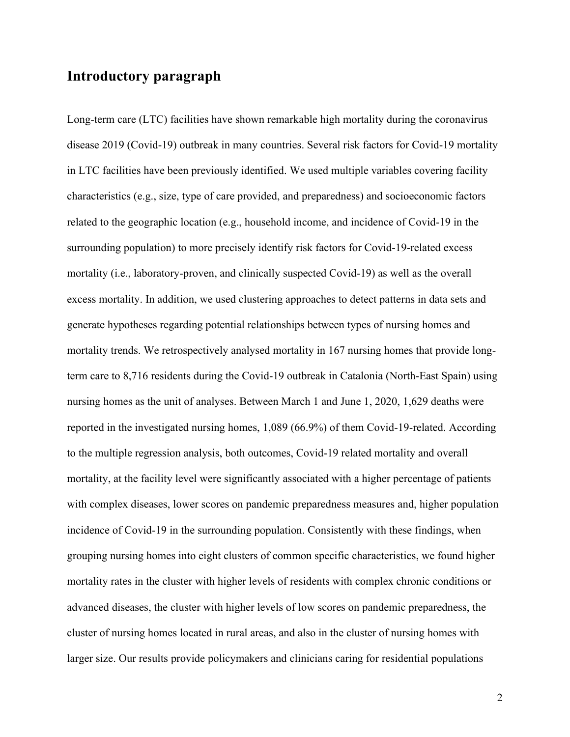# **Introductory paragraph**

Long-term care (LTC) facilities have shown remarkable high mortality during the coronavirus disease 2019 (Covid-19) outbreak in many countries. Several risk factors for Covid-19 mortality in LTC facilities have been previously identified. We used multiple variables covering facility characteristics (e.g., size, type of care provided, and preparedness) and socioeconomic factors related to the geographic location (e.g., household income, and incidence of Covid-19 in the surrounding population) to more precisely identify risk factors for Covid-19-related excess mortality (i.e., laboratory-proven, and clinically suspected Covid-19) as well as the overall excess mortality. In addition, we used clustering approaches to detect patterns in data sets and generate hypotheses regarding potential relationships between types of nursing homes and mortality trends. We retrospectively analysed mortality in 167 nursing homes that provide longterm care to 8,716 residents during the Covid-19 outbreak in Catalonia (North-East Spain) using nursing homes as the unit of analyses. Between March 1 and June 1, 2020, 1,629 deaths were reported in the investigated nursing homes, 1,089 (66.9%) of them Covid-19-related. According to the multiple regression analysis, both outcomes, Covid-19 related mortality and overall mortality, at the facility level were significantly associated with a higher percentage of patients with complex diseases, lower scores on pandemic preparedness measures and, higher population incidence of Covid-19 in the surrounding population. Consistently with these findings, when grouping nursing homes into eight clusters of common specific characteristics, we found higher mortality rates in the cluster with higher levels of residents with complex chronic conditions or advanced diseases, the cluster with higher levels of low scores on pandemic preparedness, the cluster of nursing homes located in rural areas, and also in the cluster of nursing homes with larger size. Our results provide policymakers and clinicians caring for residential populations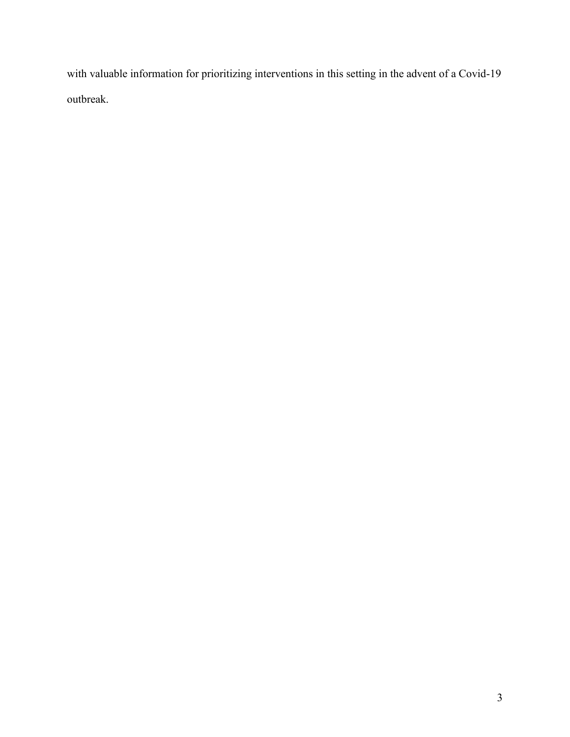with valuable information for prioritizing interventions in this setting in the advent of a Covid-19 outbreak.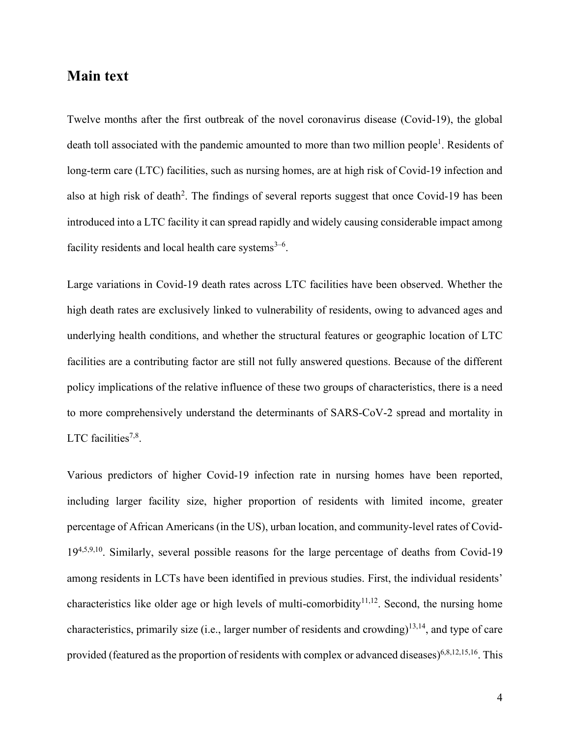### **Main text**

Twelve months after the first outbreak of the novel coronavirus disease (Covid-19), the global death toll associated with the pandemic amounted to more than two million people<sup>1</sup>. Residents of long-term care (LTC) facilities, such as nursing homes, are at high risk of Covid-19 infection and also at high risk of death<sup>2</sup>. The findings of several reports suggest that once Covid-19 has been introduced into a LTC facility it can spread rapidly and widely causing considerable impact among facility residents and local health care systems $3-6$ .

Large variations in Covid-19 death rates across LTC facilities have been observed. Whether the high death rates are exclusively linked to vulnerability of residents, owing to advanced ages and underlying health conditions, and whether the structural features or geographic location of LTC facilities are a contributing factor are still not fully answered questions. Because of the different policy implications of the relative influence of these two groups of characteristics, there is a need to more comprehensively understand the determinants of SARS-CoV-2 spread and mortality in LTC facilities<sup>7,8</sup>.

Various predictors of higher Covid-19 infection rate in nursing homes have been reported, including larger facility size, higher proportion of residents with limited income, greater percentage of African Americans (in the US), urban location, and community-level rates of Covid-19<sup>4,5,9,10</sup>. Similarly, several possible reasons for the large percentage of deaths from Covid-19 among residents in LCTs have been identified in previous studies. First, the individual residents' characteristics like older age or high levels of multi-comorbidity<sup>11,12</sup>. Second, the nursing home characteristics, primarily size (i.e., larger number of residents and crowding)<sup>13,14</sup>, and type of care provided (featured as the proportion of residents with complex or advanced diseases)<sup>6,8,12,15,16</sup>. This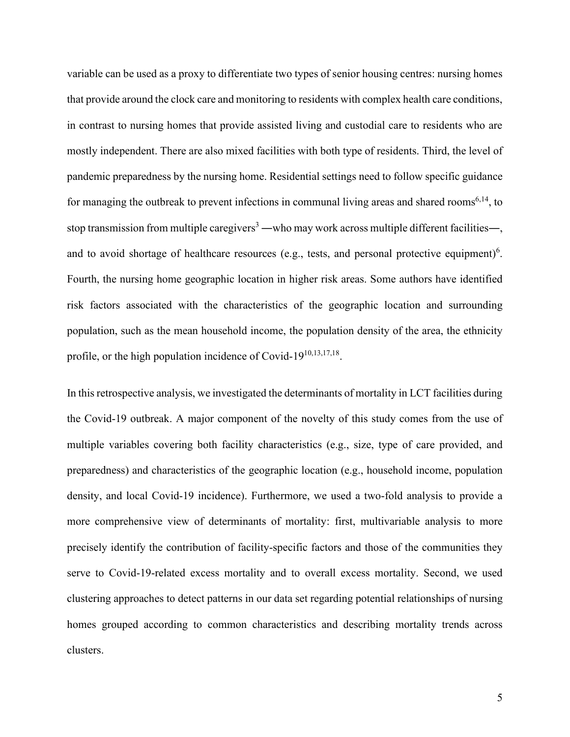variable can be used as a proxy to differentiate two types of senior housing centres: nursing homes that provide around the clock care and monitoring to residents with complex health care conditions, in contrast to nursing homes that provide assisted living and custodial care to residents who are mostly independent. There are also mixed facilities with both type of residents. Third, the level of pandemic preparedness by the nursing home. Residential settings need to follow specific guidance for managing the outbreak to prevent infections in communal living areas and shared rooms<sup>6,14</sup>, to stop transmission from multiple caregivers<sup>3</sup> —who may work across multiple different facilities—, and to avoid shortage of healthcare resources (e.g., tests, and personal protective equipment)<sup>6</sup>. Fourth, the nursing home geographic location in higher risk areas. Some authors have identified risk factors associated with the characteristics of the geographic location and surrounding population, such as the mean household income, the population density of the area, the ethnicity profile, or the high population incidence of Covid-19<sup>10,13,17,18</sup>.

In this retrospective analysis, we investigated the determinants of mortality in LCT facilities during the Covid-19 outbreak. A major component of the novelty of this study comes from the use of multiple variables covering both facility characteristics (e.g., size, type of care provided, and preparedness) and characteristics of the geographic location (e.g., household income, population density, and local Covid-19 incidence). Furthermore, we used a two-fold analysis to provide a more comprehensive view of determinants of mortality: first, multivariable analysis to more precisely identify the contribution of facility-specific factors and those of the communities they serve to Covid-19-related excess mortality and to overall excess mortality. Second, we used clustering approaches to detect patterns in our data set regarding potential relationships of nursing homes grouped according to common characteristics and describing mortality trends across clusters.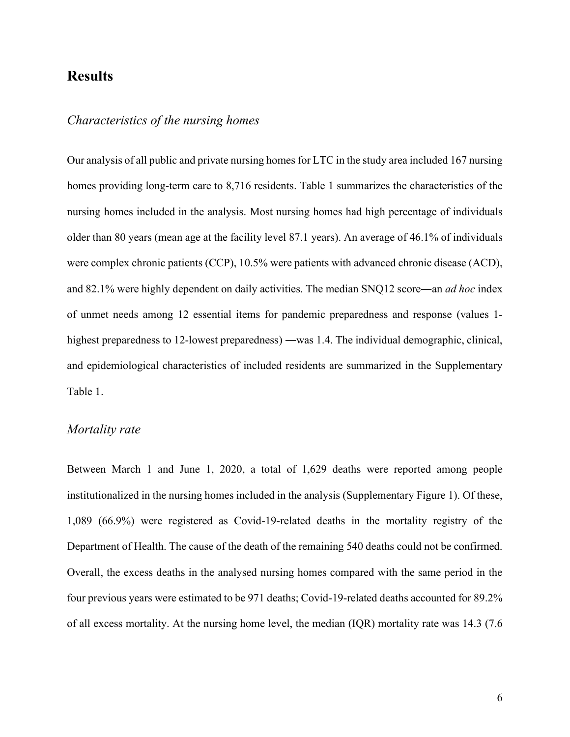### **Results**

### *Characteristics of the nursing homes*

Our analysis of all public and private nursing homes for LTC in the study area included 167 nursing homes providing long-term care to 8,716 residents. Table 1 summarizes the characteristics of the nursing homes included in the analysis. Most nursing homes had high percentage of individuals older than 80 years (mean age at the facility level 87.1 years). An average of 46.1% of individuals were complex chronic patients (CCP), 10.5% were patients with advanced chronic disease (ACD), and 82.1% were highly dependent on daily activities. The median SNQ12 score―an *ad hoc* index of unmet needs among 12 essential items for pandemic preparedness and response (values 1 highest preparedness to 12-lowest preparedness) —was 1.4. The individual demographic, clinical, and epidemiological characteristics of included residents are summarized in the Supplementary Table 1.

### *Mortality rate*

Between March 1 and June 1, 2020, a total of 1,629 deaths were reported among people institutionalized in the nursing homes included in the analysis (Supplementary Figure 1). Of these, 1,089 (66.9%) were registered as Covid-19-related deaths in the mortality registry of the Department of Health. The cause of the death of the remaining 540 deaths could not be confirmed. Overall, the excess deaths in the analysed nursing homes compared with the same period in the four previous years were estimated to be 971 deaths; Covid-19-related deaths accounted for 89.2% of all excess mortality. At the nursing home level, the median (IQR) mortality rate was 14.3 (7.6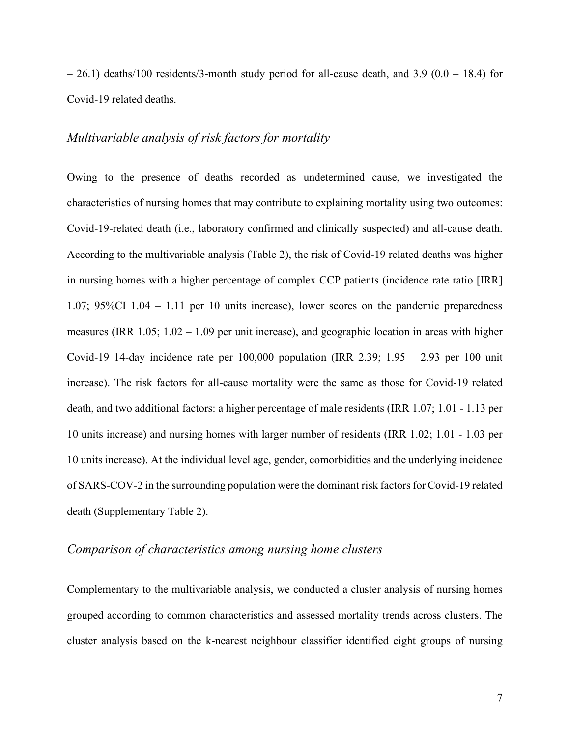$-26.1$ ) deaths/100 residents/3-month study period for all-cause death, and 3.9 (0.0 – 18.4) for Covid-19 related deaths.

#### *Multivariable analysis of risk factors for mortality*

Owing to the presence of deaths recorded as undetermined cause, we investigated the characteristics of nursing homes that may contribute to explaining mortality using two outcomes: Covid-19-related death (i.e., laboratory confirmed and clinically suspected) and all-cause death. According to the multivariable analysis (Table 2), the risk of Covid-19 related deaths was higher in nursing homes with a higher percentage of complex CCP patients (incidence rate ratio [IRR] 1.07; 95%CI 1.04 – 1.11 per 10 units increase), lower scores on the pandemic preparedness measures (IRR  $1.05$ ;  $1.02 - 1.09$  per unit increase), and geographic location in areas with higher Covid-19 14-day incidence rate per 100,000 population (IRR 2.39; 1.95 – 2.93 per 100 unit increase). The risk factors for all-cause mortality were the same as those for Covid-19 related death, and two additional factors: a higher percentage of male residents (IRR 1.07; 1.01 - 1.13 per 10 units increase) and nursing homes with larger number of residents (IRR 1.02; 1.01 - 1.03 per 10 units increase). At the individual level age, gender, comorbidities and the underlying incidence of SARS-COV-2 in the surrounding population were the dominant risk factors for Covid-19 related death (Supplementary Table 2).

### *Comparison of characteristics among nursing home clusters*

Complementary to the multivariable analysis, we conducted a cluster analysis of nursing homes grouped according to common characteristics and assessed mortality trends across clusters. The cluster analysis based on the k-nearest neighbour classifier identified eight groups of nursing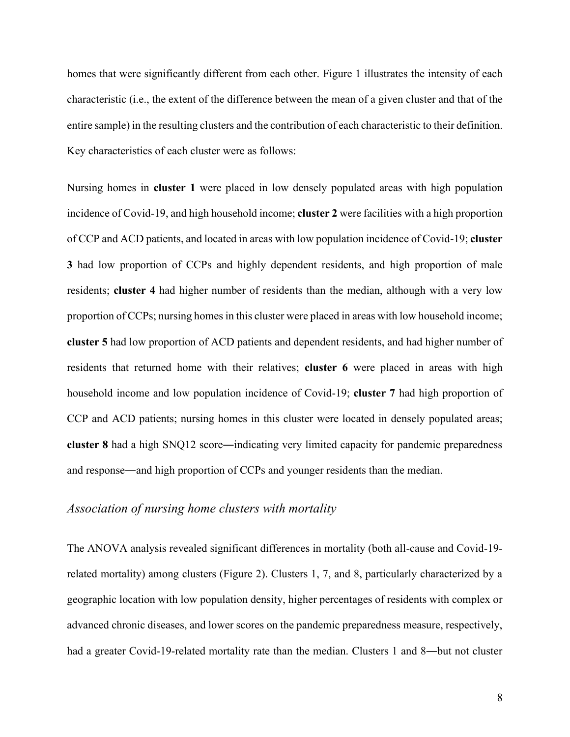homes that were significantly different from each other. Figure 1 illustrates the intensity of each characteristic (i.e., the extent of the difference between the mean of a given cluster and that of the entire sample) in the resulting clusters and the contribution of each characteristic to their definition. Key characteristics of each cluster were as follows:

Nursing homes in **cluster 1** were placed in low densely populated areas with high population incidence of Covid-19, and high household income; **cluster 2** were facilities with a high proportion of CCP and ACD patients, and located in areas with low population incidence of Covid-19; **cluster 3** had low proportion of CCPs and highly dependent residents, and high proportion of male residents; **cluster 4** had higher number of residents than the median, although with a very low proportion of CCPs; nursing homes in this cluster were placed in areas with low household income; **cluster 5** had low proportion of ACD patients and dependent residents, and had higher number of residents that returned home with their relatives; **cluster 6** were placed in areas with high household income and low population incidence of Covid-19; **cluster 7** had high proportion of CCP and ACD patients; nursing homes in this cluster were located in densely populated areas; **cluster 8** had a high SNQ12 score―indicating very limited capacity for pandemic preparedness and response―and high proportion of CCPs and younger residents than the median.

### *Association of nursing home clusters with mortality*

The ANOVA analysis revealed significant differences in mortality (both all-cause and Covid-19 related mortality) among clusters (Figure 2). Clusters 1, 7, and 8, particularly characterized by a geographic location with low population density, higher percentages of residents with complex or advanced chronic diseases, and lower scores on the pandemic preparedness measure, respectively, had a greater Covid-19-related mortality rate than the median. Clusters 1 and 8—but not cluster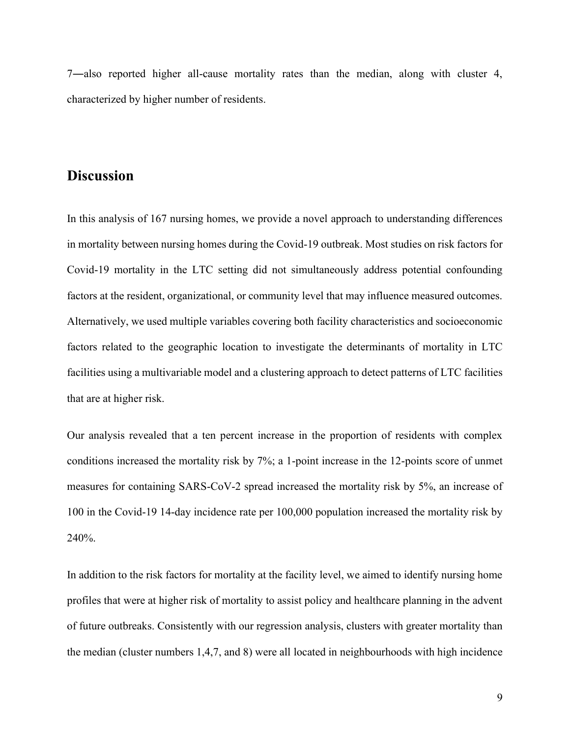7―also reported higher all-cause mortality rates than the median, along with cluster 4, characterized by higher number of residents.

### **Discussion**

In this analysis of 167 nursing homes, we provide a novel approach to understanding differences in mortality between nursing homes during the Covid-19 outbreak. Most studies on risk factors for Covid-19 mortality in the LTC setting did not simultaneously address potential confounding factors at the resident, organizational, or community level that may influence measured outcomes. Alternatively, we used multiple variables covering both facility characteristics and socioeconomic factors related to the geographic location to investigate the determinants of mortality in LTC facilities using a multivariable model and a clustering approach to detect patterns of LTC facilities that are at higher risk.

Our analysis revealed that a ten percent increase in the proportion of residents with complex conditions increased the mortality risk by 7%; a 1-point increase in the 12-points score of unmet measures for containing SARS-CoV-2 spread increased the mortality risk by 5%, an increase of 100 in the Covid-19 14-day incidence rate per 100,000 population increased the mortality risk by 240%.

In addition to the risk factors for mortality at the facility level, we aimed to identify nursing home profiles that were at higher risk of mortality to assist policy and healthcare planning in the advent of future outbreaks. Consistently with our regression analysis, clusters with greater mortality than the median (cluster numbers 1,4,7, and 8) were all located in neighbourhoods with high incidence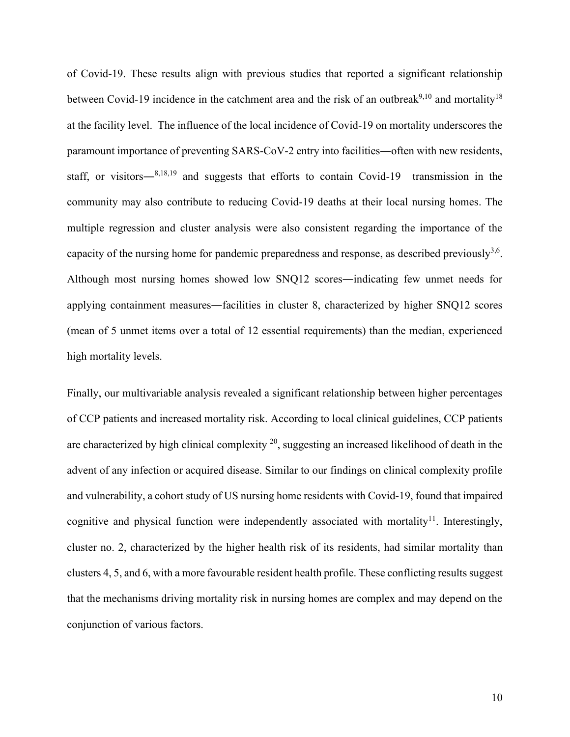of Covid-19. These results align with previous studies that reported a significant relationship between Covid-19 incidence in the catchment area and the risk of an outbreak<sup>9,10</sup> and mortality<sup>18</sup> at the facility level. The influence of the local incidence of Covid-19 on mortality underscores the paramount importance of preventing SARS-CoV-2 entry into facilities―often with new residents, staff, or visitors―8,18,19 and suggests that efforts to contain Covid-19 transmission in the community may also contribute to reducing Covid-19 deaths at their local nursing homes. The multiple regression and cluster analysis were also consistent regarding the importance of the capacity of the nursing home for pandemic preparedness and response, as described previously<sup>3,6</sup>. Although most nursing homes showed low SNQ12 scores―indicating few unmet needs for applying containment measures―facilities in cluster 8, characterized by higher SNQ12 scores (mean of 5 unmet items over a total of 12 essential requirements) than the median, experienced high mortality levels.

Finally, our multivariable analysis revealed a significant relationship between higher percentages of CCP patients and increased mortality risk. According to local clinical guidelines, CCP patients are characterized by high clinical complexity  $20$ , suggesting an increased likelihood of death in the advent of any infection or acquired disease. Similar to our findings on clinical complexity profile and vulnerability, a cohort study of US nursing home residents with Covid-19, found that impaired cognitive and physical function were independently associated with mortality<sup>11</sup>. Interestingly, cluster no. 2, characterized by the higher health risk of its residents, had similar mortality than clusters 4, 5, and 6, with a more favourable resident health profile. These conflicting results suggest that the mechanisms driving mortality risk in nursing homes are complex and may depend on the conjunction of various factors.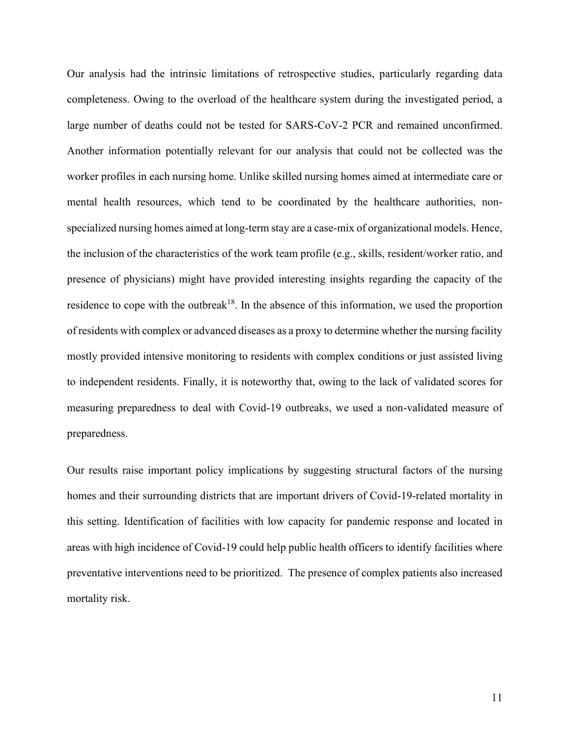Our analysis had the intrinsic limitations of retrospective studies, particularly regarding data completeness. Owing to the overload of the healthcare system during the investigated period, a large number of deaths could not be tested for SARS-CoV-2 PCR and remained unconfirmed. Another information potentially relevant for our analysis that could not be collected was the worker profiles in each nursing home. Unlike skilled nursing homes aimed at intermediate care or mental health resources, which tend to be coordinated by the healthcare authorities, nonspecialized nursing homes aimed at long-term stay are a case-mix of organizational models. Hence, the inclusion of the characteristics of the work team profile (e.g., skills, resident/worker ratio, and presence of physicians) might have provided interesting insights regarding the capacity of the residence to cope with the outbreak<sup>18</sup>. In the absence of this information, we used the proportion of residents with complex or advanced diseases as a proxy to determine whether the nursing facility mostly provided intensive monitoring to residents with complex conditions or just assisted living to independent residents. Finally, it is noteworthy that, owing to the lack of validated scores for measuring preparedness to deal with Covid-19 outbreaks, we used a non-validated measure of preparedness.

Our results raise important policy implications by suggesting structural factors of the nursing homes and their surrounding districts that are important drivers of Covid-19-related mortality in this setting. Identification of facilities with low capacity for pandemic response and located in areas with high incidence of Covid-19 could help public health officers to identify facilities where preventative interventions need to be prioritized. The presence of complex patients also increased mortality risk.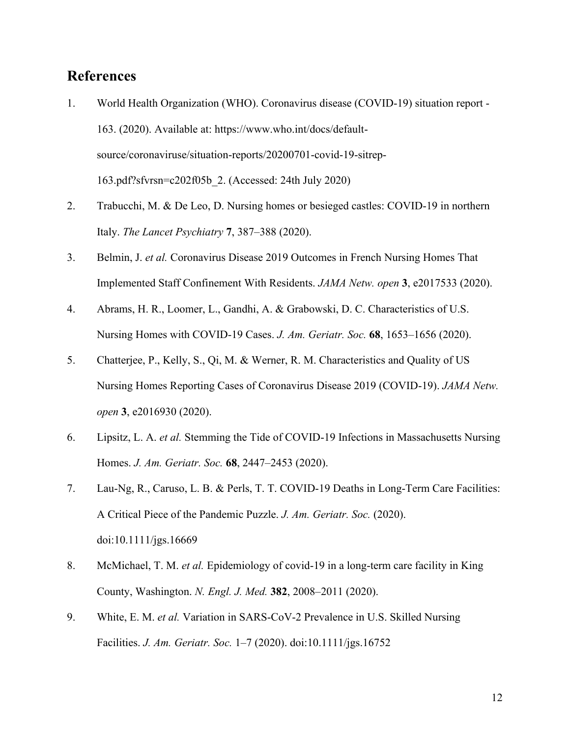# **References**

- 1. World Health Organization (WHO). Coronavirus disease (COVID-19) situation report 163. (2020). Available at: https://www.who.int/docs/defaultsource/coronaviruse/situation-reports/20200701-covid-19-sitrep-163.pdf?sfvrsn=c202f05b\_2. (Accessed: 24th July 2020)
- 2. Trabucchi, M. & De Leo, D. Nursing homes or besieged castles: COVID-19 in northern Italy. *The Lancet Psychiatry* **7**, 387–388 (2020).
- 3. Belmin, J. *et al.* Coronavirus Disease 2019 Outcomes in French Nursing Homes That Implemented Staff Confinement With Residents. *JAMA Netw. open* **3**, e2017533 (2020).
- 4. Abrams, H. R., Loomer, L., Gandhi, A. & Grabowski, D. C. Characteristics of U.S. Nursing Homes with COVID-19 Cases. *J. Am. Geriatr. Soc.* **68**, 1653–1656 (2020).
- 5. Chatterjee, P., Kelly, S., Qi, M. & Werner, R. M. Characteristics and Quality of US Nursing Homes Reporting Cases of Coronavirus Disease 2019 (COVID-19). *JAMA Netw. open* **3**, e2016930 (2020).
- 6. Lipsitz, L. A. *et al.* Stemming the Tide of COVID-19 Infections in Massachusetts Nursing Homes. *J. Am. Geriatr. Soc.* **68**, 2447–2453 (2020).
- 7. Lau-Ng, R., Caruso, L. B. & Perls, T. T. COVID-19 Deaths in Long-Term Care Facilities: A Critical Piece of the Pandemic Puzzle. *J. Am. Geriatr. Soc.* (2020). doi:10.1111/jgs.16669
- 8. McMichael, T. M. *et al.* Epidemiology of covid-19 in a long-term care facility in King County, Washington. *N. Engl. J. Med.* **382**, 2008–2011 (2020).
- 9. White, E. M. *et al.* Variation in SARS-CoV-2 Prevalence in U.S. Skilled Nursing Facilities. *J. Am. Geriatr. Soc.* 1–7 (2020). doi:10.1111/jgs.16752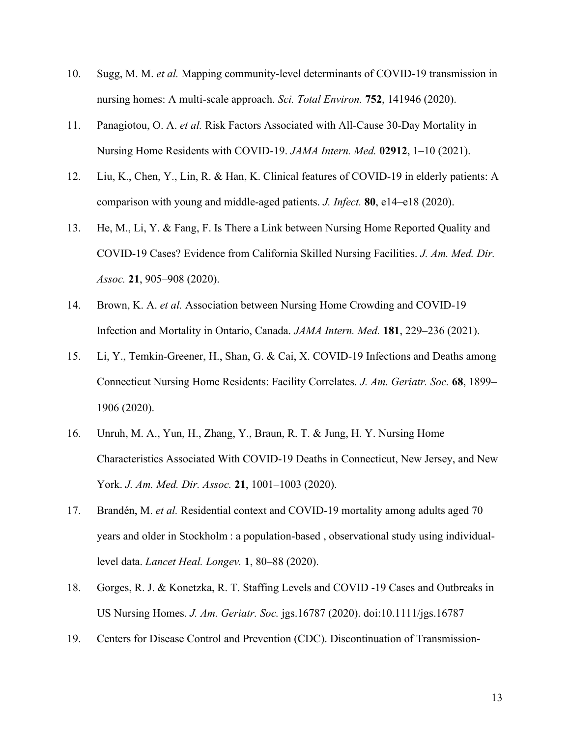- 10. Sugg, M. M. *et al.* Mapping community-level determinants of COVID-19 transmission in nursing homes: A multi-scale approach. *Sci. Total Environ.* **752**, 141946 (2020).
- 11. Panagiotou, O. A. *et al.* Risk Factors Associated with All-Cause 30-Day Mortality in Nursing Home Residents with COVID-19. *JAMA Intern. Med.* **02912**, 1–10 (2021).
- 12. Liu, K., Chen, Y., Lin, R. & Han, K. Clinical features of COVID-19 in elderly patients: A comparison with young and middle-aged patients. *J. Infect.* **80**, e14–e18 (2020).
- 13. He, M., Li, Y. & Fang, F. Is There a Link between Nursing Home Reported Quality and COVID-19 Cases? Evidence from California Skilled Nursing Facilities. *J. Am. Med. Dir. Assoc.* **21**, 905–908 (2020).
- 14. Brown, K. A. *et al.* Association between Nursing Home Crowding and COVID-19 Infection and Mortality in Ontario, Canada. *JAMA Intern. Med.* **181**, 229–236 (2021).
- 15. Li, Y., Temkin-Greener, H., Shan, G. & Cai, X. COVID-19 Infections and Deaths among Connecticut Nursing Home Residents: Facility Correlates. *J. Am. Geriatr. Soc.* **68**, 1899– 1906 (2020).
- 16. Unruh, M. A., Yun, H., Zhang, Y., Braun, R. T. & Jung, H. Y. Nursing Home Characteristics Associated With COVID-19 Deaths in Connecticut, New Jersey, and New York. *J. Am. Med. Dir. Assoc.* **21**, 1001–1003 (2020).
- 17. Brandén, M. *et al.* Residential context and COVID-19 mortality among adults aged 70 years and older in Stockholm : a population-based , observational study using individuallevel data. *Lancet Heal. Longev.* **1**, 80–88 (2020).
- 18. Gorges, R. J. & Konetzka, R. T. Staffing Levels and COVID ‐19 Cases and Outbreaks in US Nursing Homes. *J. Am. Geriatr. Soc.* jgs.16787 (2020). doi:10.1111/jgs.16787
- 19. Centers for Disease Control and Prevention (CDC). Discontinuation of Transmission-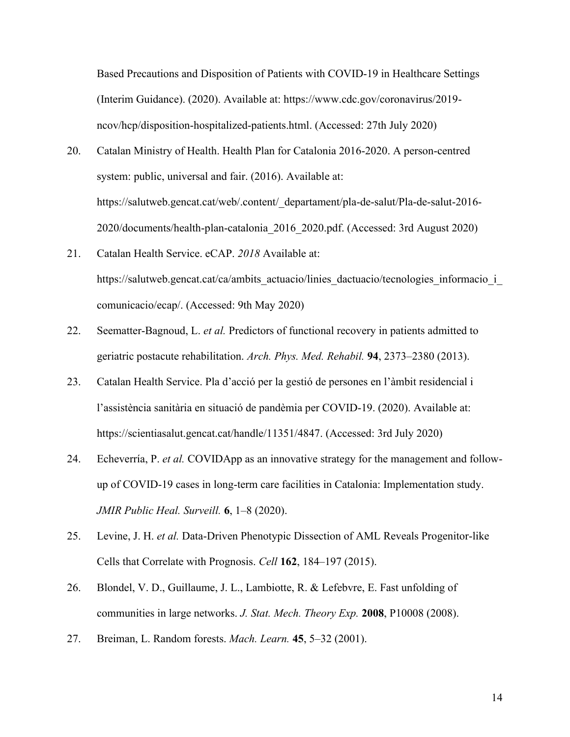Based Precautions and Disposition of Patients with COVID-19 in Healthcare Settings (Interim Guidance). (2020). Available at: https://www.cdc.gov/coronavirus/2019 ncov/hcp/disposition-hospitalized-patients.html. (Accessed: 27th July 2020)

- 20. Catalan Ministry of Health. Health Plan for Catalonia 2016-2020. A person-centred system: public, universal and fair. (2016). Available at: https://salutweb.gencat.cat/web/.content/\_departament/pla-de-salut/Pla-de-salut-2016- 2020/documents/health-plan-catalonia\_2016\_2020.pdf. (Accessed: 3rd August 2020)
- 21. Catalan Health Service. eCAP. *2018* Available at: https://salutweb.gencat.cat/ca/ambits actuacio/linies dactuacio/tecnologies informacio i comunicacio/ecap/. (Accessed: 9th May 2020)
- 22. Seematter-Bagnoud, L. *et al.* Predictors of functional recovery in patients admitted to geriatric postacute rehabilitation. *Arch. Phys. Med. Rehabil.* **94**, 2373–2380 (2013).
- 23. Catalan Health Service. Pla d'acció per la gestió de persones en l'àmbit residencial i l'assistència sanitària en situació de pandèmia per COVID-19. (2020). Available at: https://scientiasalut.gencat.cat/handle/11351/4847. (Accessed: 3rd July 2020)
- 24. Echeverría, P. *et al.* COVIDApp as an innovative strategy for the management and followup of COVID-19 cases in long-term care facilities in Catalonia: Implementation study. *JMIR Public Heal. Surveill.* **6**, 1–8 (2020).
- 25. Levine, J. H. *et al.* Data-Driven Phenotypic Dissection of AML Reveals Progenitor-like Cells that Correlate with Prognosis. *Cell* **162**, 184–197 (2015).
- 26. Blondel, V. D., Guillaume, J. L., Lambiotte, R. & Lefebvre, E. Fast unfolding of communities in large networks. *J. Stat. Mech. Theory Exp.* **2008**, P10008 (2008).
- 27. Breiman, L. Random forests. *Mach. Learn.* **45**, 5–32 (2001).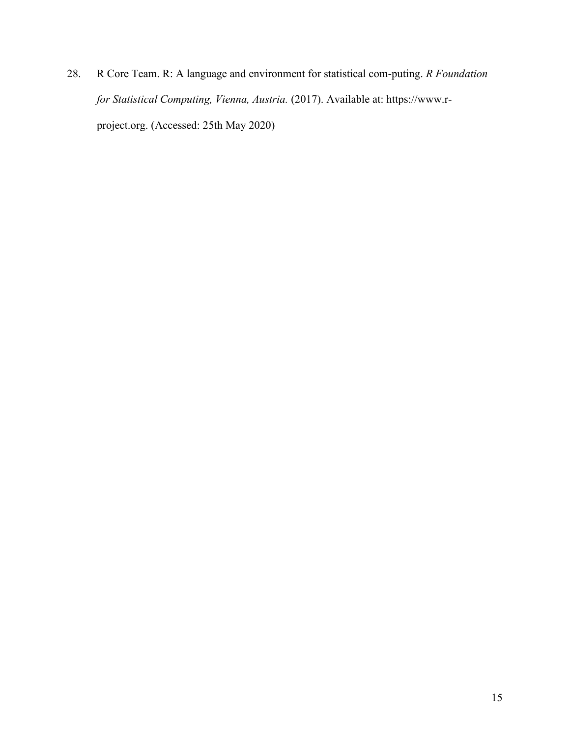28. R Core Team. R: A language and environment for statistical com‐puting. *R Foundation for Statistical Computing, Vienna, Austria.* (2017). Available at: https://www.rproject.org. (Accessed: 25th May 2020)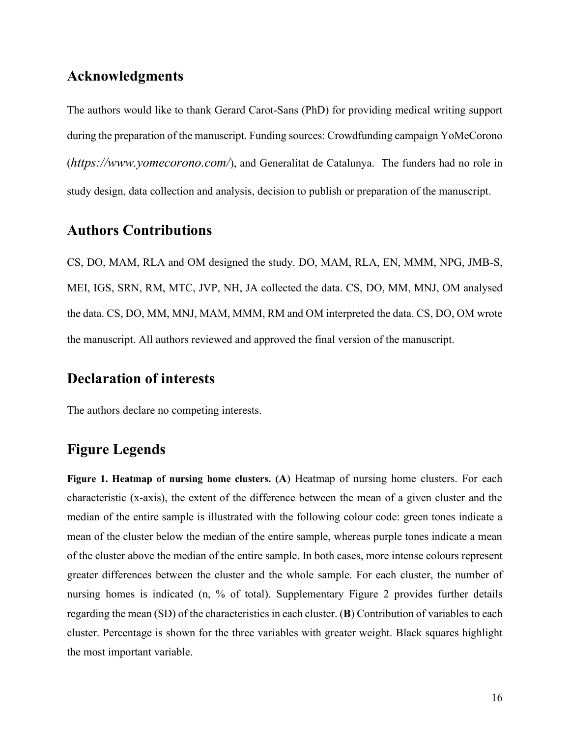# **Acknowledgments**

The authors would like to thank Gerard Carot-Sans (PhD) for providing medical writing support during the preparation of the manuscript. Funding sources: Crowdfunding campaign YoMeCorono (*<https://www.yomecorono.com/>*), and Generalitat de Catalunya. The funders had no role in study design, data collection and analysis, decision to publish or preparation of the manuscript.

### **Authors Contributions**

CS, DO, MAM, RLA and OM designed the study. DO, MAM, RLA, EN, MMM, NPG, JMB-S, MEI, IGS, SRN, RM, MTC, JVP, NH, JA collected the data. CS, DO, MM, MNJ, OM analysed the data. CS, DO, MM, MNJ, MAM, MMM, RM and OM interpreted the data. CS, DO, OM wrote the manuscript. All authors reviewed and approved the final version of the manuscript.

# **Declaration of interests**

The authors declare no competing interests.

# **Figure Legends**

**Figure 1. Heatmap of nursing home clusters. (A**) Heatmap of nursing home clusters. For each characteristic (x-axis), the extent of the difference between the mean of a given cluster and the median of the entire sample is illustrated with the following colour code: green tones indicate a mean of the cluster below the median of the entire sample, whereas purple tones indicate a mean of the cluster above the median of the entire sample. In both cases, more intense colours represent greater differences between the cluster and the whole sample. For each cluster, the number of nursing homes is indicated (n, % of total). Supplementary Figure 2 provides further details regarding the mean (SD) of the characteristics in each cluster. (**B**) Contribution of variables to each cluster. Percentage is shown for the three variables with greater weight. Black squares highlight the most important variable.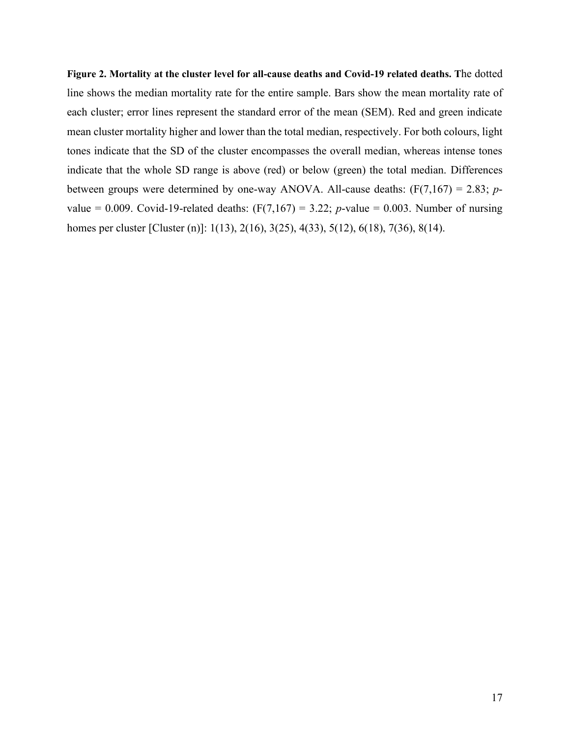**Figure 2. Mortality at the cluster level for all-cause deaths and Covid-19 related deaths. T**he dotted line shows the median mortality rate for the entire sample. Bars show the mean mortality rate of each cluster; error lines represent the standard error of the mean (SEM). Red and green indicate mean cluster mortality higher and lower than the total median, respectively. For both colours, light tones indicate that the SD of the cluster encompasses the overall median, whereas intense tones indicate that the whole SD range is above (red) or below (green) the total median. Differences between groups were determined by one-way ANOVA. All-cause deaths: (F(7,167) = 2.83; *p*value = 0.009. Covid-19-related deaths:  $(F(7,167) = 3.22; p$ -value = 0.003. Number of nursing homes per cluster [Cluster (n)]: 1(13), 2(16), 3(25), 4(33), 5(12), 6(18), 7(36), 8(14).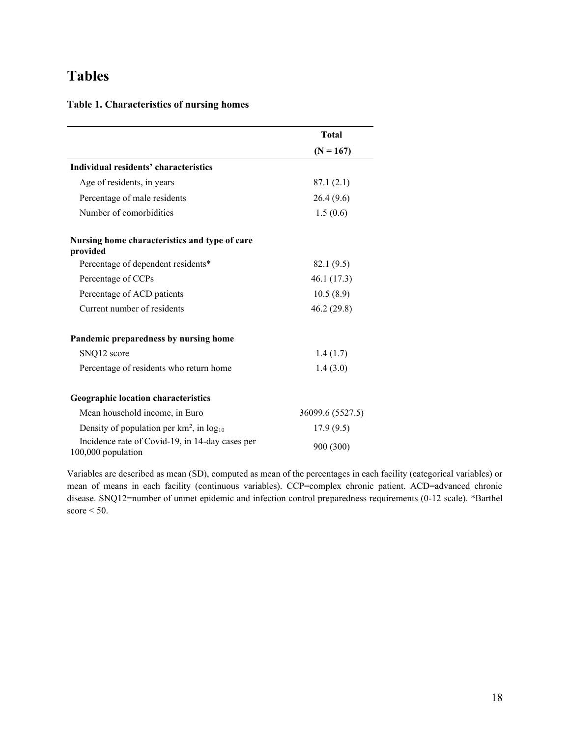# **Tables**

### **Table 1. Characteristics of nursing homes**

|                                                                       | <b>Total</b>     |  |  |
|-----------------------------------------------------------------------|------------------|--|--|
|                                                                       | $(N = 167)$      |  |  |
| Individual residents' characteristics                                 |                  |  |  |
| Age of residents, in years                                            | 87.1(2.1)        |  |  |
| Percentage of male residents                                          | 26.4(9.6)        |  |  |
| Number of comorbidities                                               | 1.5(0.6)         |  |  |
| Nursing home characteristics and type of care<br>provided             |                  |  |  |
| Percentage of dependent residents*                                    | 82.1 (9.5)       |  |  |
| Percentage of CCPs                                                    | 46.1 (17.3)      |  |  |
| Percentage of ACD patients                                            | 10.5(8.9)        |  |  |
| Current number of residents                                           | 46.2 (29.8)      |  |  |
| Pandemic preparedness by nursing home                                 |                  |  |  |
| SNQ12 score                                                           | 1.4(1.7)         |  |  |
| Percentage of residents who return home                               | 1.4(3.0)         |  |  |
| <b>Geographic location characteristics</b>                            |                  |  |  |
| Mean household income, in Euro                                        | 36099.6 (5527.5) |  |  |
| Density of population per $km^2$ , in $log_{10}$                      | 17.9(9.5)        |  |  |
| Incidence rate of Covid-19, in 14-day cases per<br>100,000 population | 900 (300)        |  |  |

Variables are described as mean (SD), computed as mean of the percentages in each facility (categorical variables) or mean of means in each facility (continuous variables). CCP=complex chronic patient. ACD=advanced chronic disease. SNQ12=number of unmet epidemic and infection control preparedness requirements (0-12 scale). \*Barthel  $score < 50$ .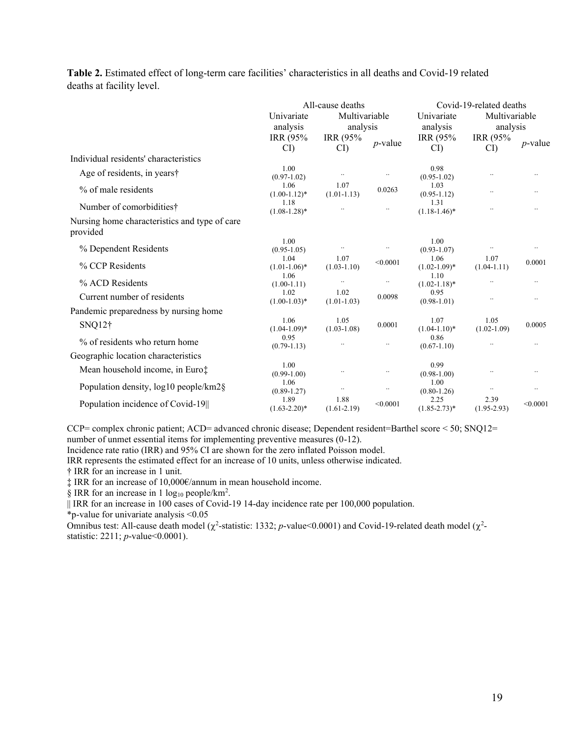**Table 2.** Estimated effect of long-term care facilities' characteristics in all deaths and Covid-19 related deaths at facility level.

|                                                           | All-cause deaths          |                         |              | Covid-19-related deaths   |                         |              |
|-----------------------------------------------------------|---------------------------|-------------------------|--------------|---------------------------|-------------------------|--------------|
|                                                           | Univariate                | Multivariable           |              | Univariate                | Multivariable           |              |
|                                                           | analysis                  |                         | analysis     | analysis                  | analysis                |              |
|                                                           | IRR (95%<br>CI            | IRR (95%<br>CI          | $p$ -value   | IRR (95%<br>CI            | IRR (95%)<br>CI)        | $p$ -value   |
|                                                           |                           |                         |              |                           |                         |              |
| Individual residents' characteristics                     |                           |                         |              |                           |                         |              |
| Age of residents, in years†                               | 1.00<br>$(0.97-1.02)$     | $\cdot\cdot$            | $\ddotsc$    | 0.98<br>$(0.95 - 1.02)$   | $\ddotsc$               | $\cdot\cdot$ |
| % of male residents                                       | 1.06<br>$(1.00-1.12)^*$   | 1.07<br>$(1.01 - 1.13)$ | 0.0263       | 1.03<br>$(0.95 - 1.12)$   |                         | $\ldots$     |
| Number of comorbidities†                                  | 1.18<br>$(1.08-1.28)$ *   |                         | $\ddotsc$    | 1.31<br>$(1.18-1.46)^*$   |                         | $\cdot$ .    |
| Nursing home characteristics and type of care<br>provided |                           |                         |              |                           |                         |              |
|                                                           | 1.00                      |                         |              | 1.00                      |                         |              |
| % Dependent Residents                                     | $(0.95 - 1.05)$           | $\cdot\cdot$            | $\cdot\cdot$ | $(0.93 - 1.07)$           | $\ddotsc$               | $\ldots$     |
| % CCP Residents                                           | 1.04<br>$(1.01-1.06)$ *   | 1.07<br>$(1.03 - 1.10)$ | < 0.0001     | 1.06<br>$(1.02 - 1.09)^*$ | 1.07<br>$(1.04 - 1.11)$ | 0.0001       |
| % ACD Residents                                           | 1.06<br>$(1.00-1.11)$     | $\cdot\cdot$            | $\ddotsc$    | 1.10<br>$(1.02 - 1.18)^*$ | $\ddot{\phantom{0}}$    | $\cdot$ .    |
| Current number of residents                               | 1.02<br>$(1.00-1.03)*$    | 1.02<br>$(1.01-1.03)$   | 0.0098       | 0.95<br>$(0.98 - 1.01)$   | $\ddotsc$               | $\ldots$     |
| Pandemic preparedness by nursing home                     |                           |                         |              |                           |                         |              |
| $SNQ12\dagger$                                            | 1.06<br>$(1.04-1.09)^*$   | 1.05<br>$(1.03 - 1.08)$ | 0.0001       | 1.07<br>$(1.04-1.10)*$    | 1.05<br>$(1.02 - 1.09)$ | 0.0005       |
| % of residents who return home                            | 0.95<br>$(0.79-1.13)$     |                         | $\ldots$     | 0.86<br>$(0.67 - 1.10)$   |                         | $\cdot$ .    |
| Geographic location characteristics                       |                           |                         |              |                           |                         |              |
| Mean household income, in Euro‡                           | 1.00<br>$(0.99 - 1.00)$   | $\cdot\cdot$            | $\ldots$     | 0.99<br>$(0.98 - 1.00)$   |                         | $\ddotsc$    |
| Population density, log10 people/km2§                     | 1.06<br>$(0.89 - 1.27)$   | $\cdot\cdot$            | $\ddotsc$    | 1.00<br>$(0.80 - 1.26)$   | $\ddotsc$               | $\cdot\cdot$ |
| Population incidence of Covid-19                          | 1.89<br>$(1.63 - 2.20)^*$ | 1.88<br>$(1.61 - 2.19)$ | < 0.0001     | 2.25<br>$(1.85 - 2.73)^*$ | 2.39<br>$(1.95 - 2.93)$ | < 0.0001     |

CCP= complex chronic patient; ACD= advanced chronic disease; Dependent resident=Barthel score < 50; SNQ12= number of unmet essential items for implementing preventive measures (0-12).

Incidence rate ratio (IRR) and 95% CI are shown for the zero inflated Poisson model.

IRR represents the estimated effect for an increase of 10 units, unless otherwise indicated.

† IRR for an increase in 1 unit.

‡ IRR for an increase of 10,000€/annum in mean household income.

§ IRR for an increase in 1  $log_{10}$  people/km<sup>2</sup>.

|| IRR for an increase in 100 cases of Covid-19 14-day incidence rate per 100,000 population.

\*p-value for univariate analysis <0.05

Omnibus test: All-cause death model ( $\chi^2$ -statistic: 1332; *p*-value<0.0001) and Covid-19-related death model ( $\chi^2$ statistic: 2211; *p*-value<0.0001).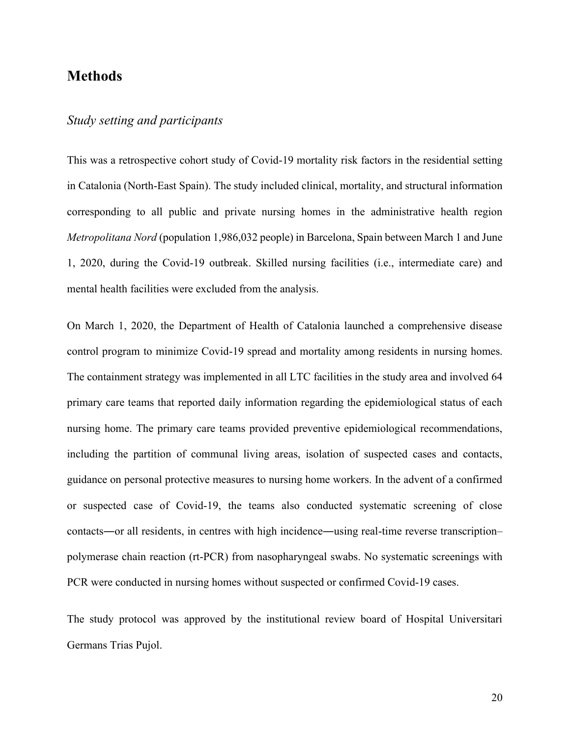## **Methods**

#### *Study setting and participants*

This was a retrospective cohort study of Covid-19 mortality risk factors in the residential setting in Catalonia (North-East Spain). The study included clinical, mortality, and structural information corresponding to all public and private nursing homes in the administrative health region *Metropolitana Nord* (population 1,986,032 people) in Barcelona, Spain between March 1 and June 1, 2020, during the Covid-19 outbreak. Skilled nursing facilities (i.e., intermediate care) and mental health facilities were excluded from the analysis.

On March 1, 2020, the Department of Health of Catalonia launched a comprehensive disease control program to minimize Covid-19 spread and mortality among residents in nursing homes. The containment strategy was implemented in all LTC facilities in the study area and involved 64 primary care teams that reported daily information regarding the epidemiological status of each nursing home. The primary care teams provided preventive epidemiological recommendations, including the partition of communal living areas, isolation of suspected cases and contacts, guidance on personal protective measures to nursing home workers. In the advent of a confirmed or suspected case of Covid-19, the teams also conducted systematic screening of close contacts―or all residents, in centres with high incidence―using real-time reverse transcription– polymerase chain reaction (rt-PCR) from nasopharyngeal swabs. No systematic screenings with PCR were conducted in nursing homes without suspected or confirmed Covid-19 cases.

The study protocol was approved by the institutional review board of Hospital Universitari Germans Trias Pujol.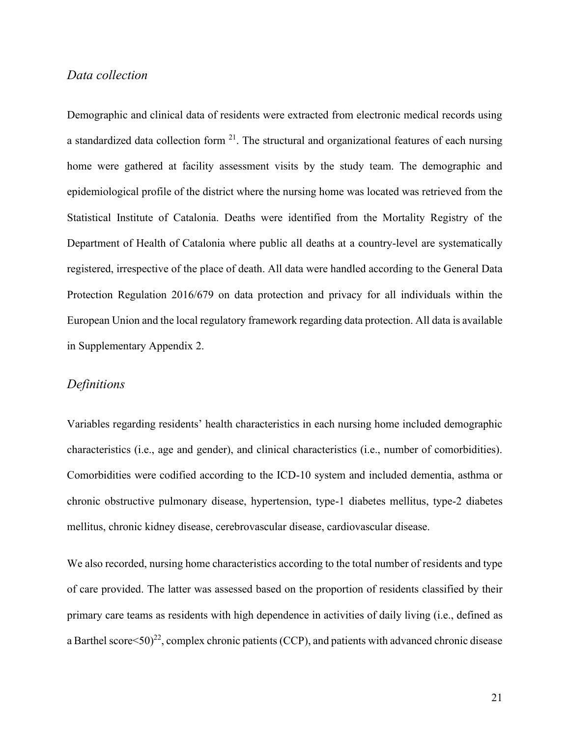### *Data collection*

Demographic and clinical data of residents were extracted from electronic medical records using a standardized data collection form  $21$ . The structural and organizational features of each nursing home were gathered at facility assessment visits by the study team. The demographic and epidemiological profile of the district where the nursing home was located was retrieved from the Statistical Institute of Catalonia. Deaths were identified from the Mortality Registry of the Department of Health of Catalonia where public all deaths at a country-level are systematically registered, irrespective of the place of death. All data were handled according to the General Data Protection Regulation 2016/679 on data protection and privacy for all individuals within the European Union and the local regulatory framework regarding data protection. All data is available in Supplementary Appendix 2.

#### *Definitions*

Variables regarding residents' health characteristics in each nursing home included demographic characteristics (i.e., age and gender), and clinical characteristics (i.e., number of comorbidities). Comorbidities were codified according to the ICD-10 system and included dementia, asthma or chronic obstructive pulmonary disease, hypertension, type-1 diabetes mellitus, type-2 diabetes mellitus, chronic kidney disease, cerebrovascular disease, cardiovascular disease.

We also recorded, nursing home characteristics according to the total number of residents and type of care provided. The latter was assessed based on the proportion of residents classified by their primary care teams as residents with high dependence in activities of daily living (i.e., defined as a Barthel score  $\leq 50$ <sup>22</sup>, complex chronic patients (CCP), and patients with advanced chronic disease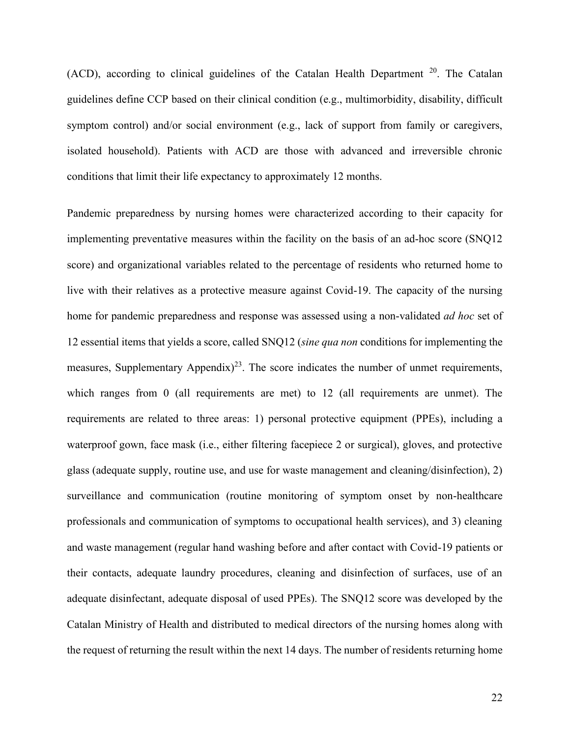(ACD), according to clinical guidelines of the Catalan Health Department <sup>20</sup>. The Catalan guidelines define CCP based on their clinical condition (e.g., multimorbidity, disability, difficult symptom control) and/or social environment (e.g., lack of support from family or caregivers, isolated household). Patients with ACD are those with advanced and irreversible chronic conditions that limit their life expectancy to approximately 12 months.

Pandemic preparedness by nursing homes were characterized according to their capacity for implementing preventative measures within the facility on the basis of an ad-hoc score (SNQ12 score) and organizational variables related to the percentage of residents who returned home to live with their relatives as a protective measure against Covid-19. The capacity of the nursing home for pandemic preparedness and response was assessed using a non-validated *ad hoc* set of 12 essential items that yields a score, called SNQ12 (*sine qua non* conditions for implementing the measures, Supplementary Appendix)<sup>23</sup>. The score indicates the number of unmet requirements, which ranges from 0 (all requirements are met) to 12 (all requirements are unmet). The requirements are related to three areas: 1) personal protective equipment (PPEs), including a waterproof gown, face mask (i.e., either filtering facepiece 2 or surgical), gloves, and protective glass (adequate supply, routine use, and use for waste management and cleaning/disinfection), 2) surveillance and communication (routine monitoring of symptom onset by non-healthcare professionals and communication of symptoms to occupational health services), and 3) cleaning and waste management (regular hand washing before and after contact with Covid-19 patients or their contacts, adequate laundry procedures, cleaning and disinfection of surfaces, use of an adequate disinfectant, adequate disposal of used PPEs). The SNQ12 score was developed by the Catalan Ministry of Health and distributed to medical directors of the nursing homes along with the request of returning the result within the next 14 days. The number of residents returning home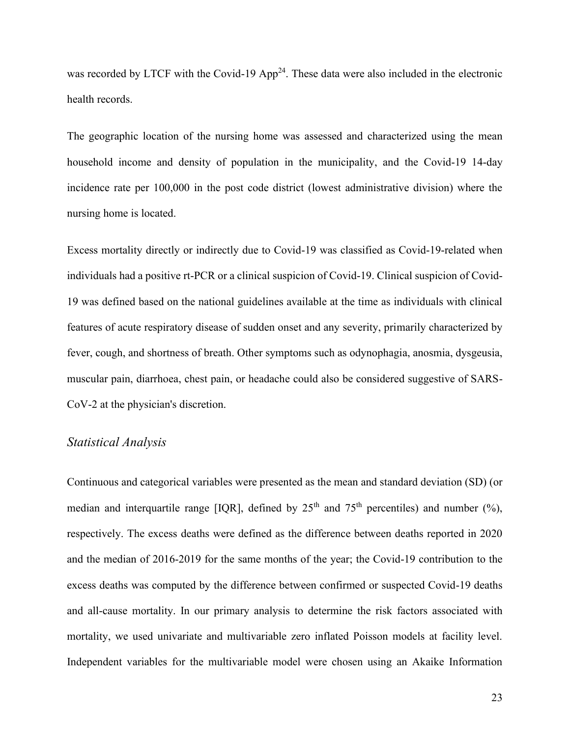was recorded by LTCF with the Covid-19  $App<sup>24</sup>$ . These data were also included in the electronic health records.

The geographic location of the nursing home was assessed and characterized using the mean household income and density of population in the municipality, and the Covid-19 14-day incidence rate per 100,000 in the post code district (lowest administrative division) where the nursing home is located.

Excess mortality directly or indirectly due to Covid-19 was classified as Covid-19-related when individuals had a positive rt-PCR or a clinical suspicion of Covid-19. Clinical suspicion of Covid-19 was defined based on the national guidelines available at the time as individuals with clinical features of acute respiratory disease of sudden onset and any severity, primarily characterized by fever, cough, and shortness of breath. Other symptoms such as odynophagia, anosmia, dysgeusia, muscular pain, diarrhoea, chest pain, or headache could also be considered suggestive of SARS-CoV-2 at the physician's discretion.

#### *Statistical Analysis*

Continuous and categorical variables were presented as the mean and standard deviation (SD) (or median and interquartile range [IQR], defined by  $25<sup>th</sup>$  and  $75<sup>th</sup>$  percentiles) and number (%), respectively. The excess deaths were defined as the difference between deaths reported in 2020 and the median of 2016-2019 for the same months of the year; the Covid-19 contribution to the excess deaths was computed by the difference between confirmed or suspected Covid-19 deaths and all-cause mortality. In our primary analysis to determine the risk factors associated with mortality, we used univariate and multivariable zero inflated Poisson models at facility level. Independent variables for the multivariable model were chosen using an Akaike Information